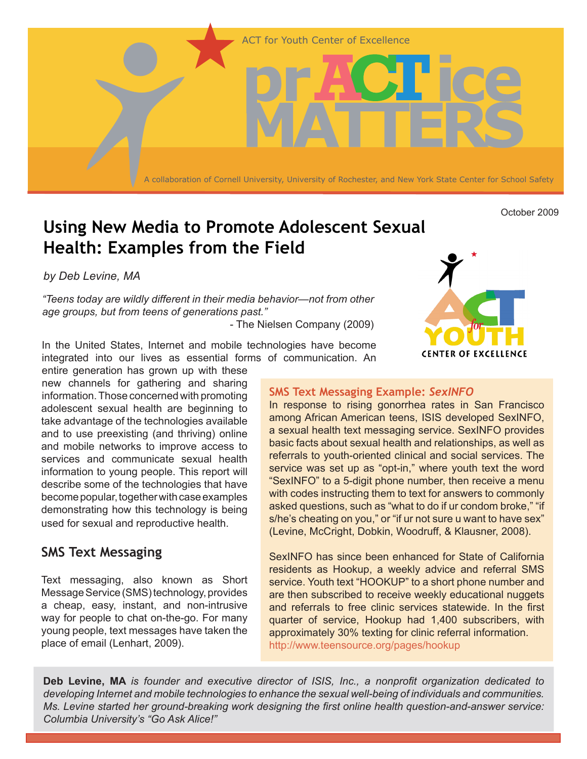

# **Using New Media to Promote Adolescent Sexual Health: Examples from the Field**

*by Deb Levine, MA*

*"Teens today are wildly different in their media behavior—not from other age groups, but from teens of generations past."* 

- The Nielsen Company (2009)

In the United States, Internet and mobile technologies have become integrated into our lives as essential forms of communication. An

entire generation has grown up with these new channels for gathering and sharing information. Those concerned with promoting adolescent sexual health are beginning to take advantage of the technologies available and to use preexisting (and thriving) online and mobile networks to improve access to services and communicate sexual health information to young people. This report will describe some of the technologies that have become popular, together with case examples demonstrating how this technology is being used for sexual and reproductive health.

# **SMS Text Messaging**

Text messaging, also known as Short Message Service (SMS) technology, provides a cheap, easy, instant, and non-intrusive way for people to chat on-the-go. For many young people, text messages have taken the place of email (Lenhart, 2009).



October 2009

#### **SMS Text Messaging Example:** *SexINFO*

In response to rising gonorrhea rates in San Francisco among African American teens, ISIS developed SexINFO, a sexual health text messaging service. SexINFO provides basic facts about sexual health and relationships, as well as referrals to youth-oriented clinical and social services. The service was set up as "opt-in," where youth text the word "SexINFO" to a 5-digit phone number, then receive a menu with codes instructing them to text for answers to commonly asked questions, such as "what to do if ur condom broke," "if s/he's cheating on you," or "if ur not sure u want to have sex" (Levine, McCright, Dobkin, Woodruff, & Klausner, 2008).

SexINFO has since been enhanced for State of California residents as Hookup, a weekly advice and referral SMS service. Youth text "HOOKUP" to a short phone number and are then subscribed to receive weekly educational nuggets and referrals to free clinic services statewide. In the first quarter of service, Hookup had 1,400 subscribers, with approximately 30% texting for clinic referral information. http://www.teensource.org/pages/hookup

**Deb Levine, MA** *is founder and executive director of ISIS, Inc., a nonprofit organization dedicated to developing Internet and mobile technologies to enhance the sexual well-being of individuals and communities. Ms. Levine started her ground-breaking work designing the first online health question-and-answer service: Columbia University's "Go Ask Alice!"*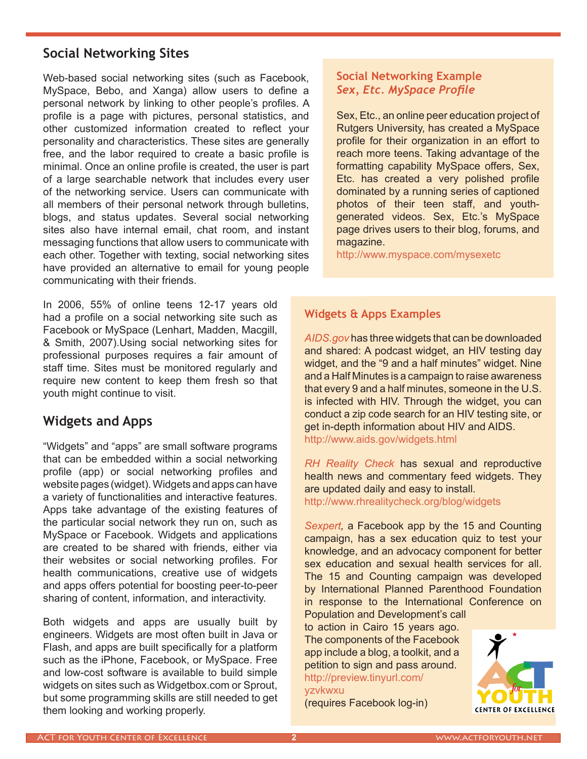## **Social Networking Sites**

Web-based social networking sites (such as Facebook, MySpace, Bebo, and Xanga) allow users to define a personal network by linking to other people's profiles. A profile is a page with pictures, personal statistics, and other customized information created to reflect your personality and characteristics. These sites are generally free, and the labor required to create a basic profile is minimal. Once an online profile is created, the user is part of a large searchable network that includes every user of the networking service. Users can communicate with all members of their personal network through bulletins, blogs, and status updates. Several social networking sites also have internal email, chat room, and instant messaging functions that allow users to communicate with each other. Together with texting, social networking sites have provided an alternative to email for young people communicating with their friends.

In 2006, 55% of online teens 12-17 years old had a profile on a social networking site such as Facebook or MySpace (Lenhart, Madden, Macgill, & Smith, 2007).Using social networking sites for professional purposes requires a fair amount of staff time. Sites must be monitored regularly and require new content to keep them fresh so that youth might continue to visit.

### **Widgets and Apps**

"Widgets" and "apps" are small software programs that can be embedded within a social networking profile (app) or social networking profiles and website pages (widget). Widgets and apps can have a variety of functionalities and interactive features. Apps take advantage of the existing features of the particular social network they run on, such as MySpace or Facebook. Widgets and applications are created to be shared with friends, either via their websites or social networking profiles. For health communications, creative use of widgets and apps offers potential for boosting peer-to-peer sharing of content, information, and interactivity.

Both widgets and apps are usually built by engineers. Widgets are most often built in Java or Flash, and apps are built specifically for a platform such as the iPhone, Facebook, or MySpace. Free and low-cost software is available to build simple widgets on sites such as Widgetbox.com or Sprout, but some programming skills are still needed to get them looking and working properly.

### **Social Networking Example** *Sex, Etc. MySpace Profile*

Sex, Etc., an online peer education project of Rutgers University, has created a MySpace profile for their organization in an effort to reach more teens. Taking advantage of the formatting capability MySpace offers, Sex, Etc. has created a very polished profile dominated by a running series of captioned photos of their teen staff, and youthgenerated videos. Sex, Etc.'s MySpace page drives users to their blog, forums, and magazine.

http://www.myspace.com/mysexetc

#### **Widgets & Apps Examples**

*AIDS.gov* has three widgets that can be downloaded and shared: A podcast widget, an HIV testing day widget, and the "9 and a half minutes" widget. Nine and a Half Minutes is a campaign to raise awareness that every 9 and a half minutes, someone in the U.S. is infected with HIV. Through the widget, you can conduct a zip code search for an HIV testing site, or get in-depth information about HIV and AIDS. http://www.aids.gov/widgets.html

*RH Reality Check* has sexual and reproductive health news and commentary feed widgets. They are updated daily and easy to install. http://www.rhrealitycheck.org/blog/widgets

*Sexpert,* a Facebook app by the 15 and Counting campaign, has a sex education quiz to test your knowledge, and an advocacy component for better sex education and sexual health services for all. The 15 and Counting campaign was developed by International Planned Parenthood Foundation in response to the International Conference on

Population and Development's call to action in Cairo 15 years ago. The components of the Facebook app include a blog, a toolkit, and a petition to sign and pass around. http://preview.tinyurl.com/ yzvkwxu

(requires Facebook log-in)

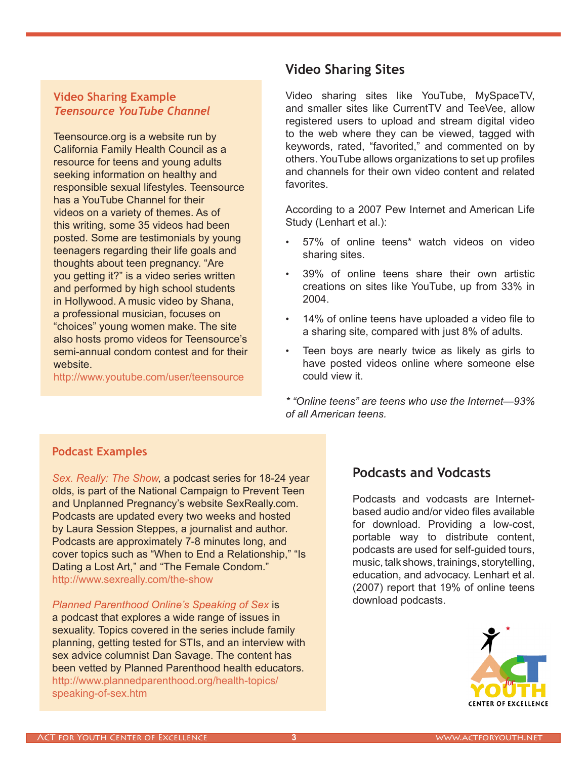#### **Video Sharing Example** *Teensource YouTube Channel*

Teensource.org is a website run by California Family Health Council as a resource for teens and young adults seeking information on healthy and responsible sexual lifestyles. Teensource has a YouTube Channel for their videos on a variety of themes. As of this writing, some 35 videos had been posted. Some are testimonials by young teenagers regarding their life goals and thoughts about teen pregnancy. "Are you getting it?" is a video series written and performed by high school students in Hollywood. A music video by Shana, a professional musician, focuses on "choices" young women make. The site also hosts promo videos for Teensource's semi-annual condom contest and for their website.

http://www.youtube.com/user/teensource

# **Video Sharing Sites**

Video sharing sites like YouTube, MySpaceTV, and smaller sites like CurrentTV and TeeVee, allow registered users to upload and stream digital video to the web where they can be viewed, tagged with keywords, rated, "favorited," and commented on by others. YouTube allows organizations to set up profiles and channels for their own video content and related favorites.

According to a 2007 Pew Internet and American Life Study (Lenhart et al.):

- 57% of online teens\* watch videos on video sharing sites.
- 39% of online teens share their own artistic creations on sites like YouTube, up from 33% in 2004.
- 14% of online teens have uploaded a video file to a sharing site, compared with just 8% of adults.
- Teen boys are nearly twice as likely as girls to have posted videos online where someone else could view it.

*\* "Online teens" are teens who use the Internet—93% of all American teens.*

### **Podcast Examples**

*Sex. Really: The Show,* a podcast series for 18-24 year olds, is part of the National Campaign to Prevent Teen and Unplanned Pregnancy's website SexReally.com. Podcasts are updated every two weeks and hosted by Laura Session Steppes, a journalist and author. Podcasts are approximately 7-8 minutes long, and cover topics such as "When to End a Relationship," "Is Dating a Lost Art," and "The Female Condom." http://www.sexreally.com/the-show

*Planned Parenthood Online's Speaking of Sex* is a podcast that explores a wide range of issues in sexuality. Topics covered in the series include family planning, getting tested for STIs, and an interview with sex advice columnist Dan Savage. The content has been vetted by Planned Parenthood health educators. http://www.plannedparenthood.org/health-topics/ speaking-of-sex.htm

### **Podcasts and Vodcasts**

Podcasts and vodcasts are Internetbased audio and/or video files available for download. Providing a low-cost, portable way to distribute content, podcasts are used for self-guided tours, music, talk shows, trainings, storytelling, education, and advocacy. Lenhart et al. (2007) report that 19% of online teens download podcasts.

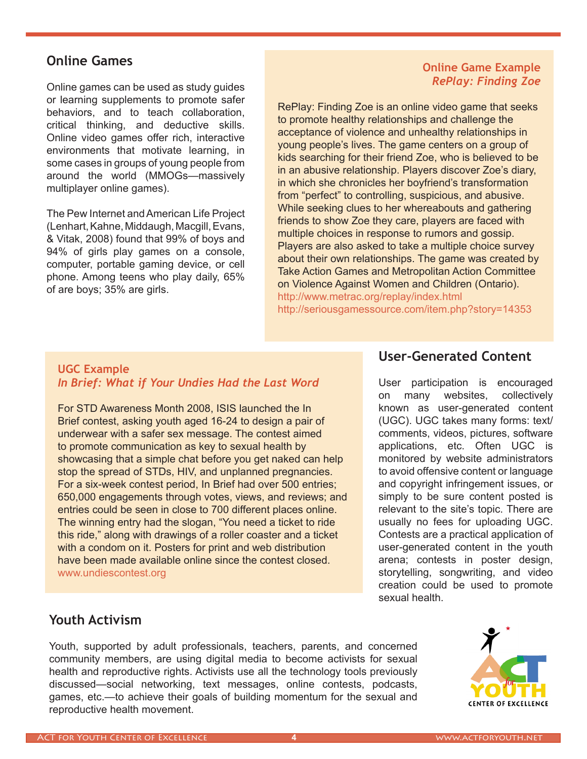### **Online Games**

Online games can be used as study guides or learning supplements to promote safer behaviors, and to teach collaboration, critical thinking, and deductive skills. Online video games offer rich, interactive environments that motivate learning, in some cases in groups of young people from around the world (MMOGs—massively multiplayer online games).

The Pew Internet and American Life Project (Lenhart, Kahne, Middaugh, Macgill, Evans, & Vitak, 2008) found that 99% of boys and 94% of girls play games on a console, computer, portable gaming device, or cell phone. Among teens who play daily, 65% of are boys; 35% are girls.

### **Online Game Example** *RePlay: Finding Zoe*

RePlay: Finding Zoe is an online video game that seeks to promote healthy relationships and challenge the acceptance of violence and unhealthy relationships in young people's lives. The game centers on a group of kids searching for their friend Zoe, who is believed to be in an abusive relationship. Players discover Zoe's diary, in which she chronicles her boyfriend's transformation from "perfect" to controlling, suspicious, and abusive. While seeking clues to her whereabouts and gathering friends to show Zoe they care, players are faced with multiple choices in response to rumors and gossip. Players are also asked to take a multiple choice survey about their own relationships. The game was created by Take Action Games and Metropolitan Action Committee on Violence Against Women and Children (Ontario). http://www.metrac.org/replay/index.html http://seriousgamessource.com/item.php?story=14353

#### **UGC Example** *In Brief: What if Your Undies Had the Last Word*

For STD Awareness Month 2008, ISIS launched the In Brief contest, asking youth aged 16-24 to design a pair of underwear with a safer sex message. The contest aimed to promote communication as key to sexual health by showcasing that a simple chat before you get naked can help stop the spread of STDs, HIV, and unplanned pregnancies. For a six-week contest period, In Brief had over 500 entries; 650,000 engagements through votes, views, and reviews; and entries could be seen in close to 700 different places online. The winning entry had the slogan, "You need a ticket to ride this ride," along with drawings of a roller coaster and a ticket with a condom on it. Posters for print and web distribution have been made available online since the contest closed. www.undiescontest.org

### **User-Generated Content**

User participation is encouraged on many websites, collectively known as user-generated content (UGC). UGC takes many forms: text/ comments, videos, pictures, software applications, etc. Often UGC is monitored by website administrators to avoid offensive content or language and copyright infringement issues, or simply to be sure content posted is relevant to the site's topic. There are usually no fees for uploading UGC. Contests are a practical application of user-generated content in the youth arena; contests in poster design, storytelling, songwriting, and video creation could be used to promote sexual health.

# **Youth Activism**

Youth, supported by adult professionals, teachers, parents, and concerned community members, are using digital media to become activists for sexual health and reproductive rights. Activists use all the technology tools previously discussed—social networking, text messages, online contests, podcasts, games, etc.—to achieve their goals of building momentum for the sexual and reproductive health movement.

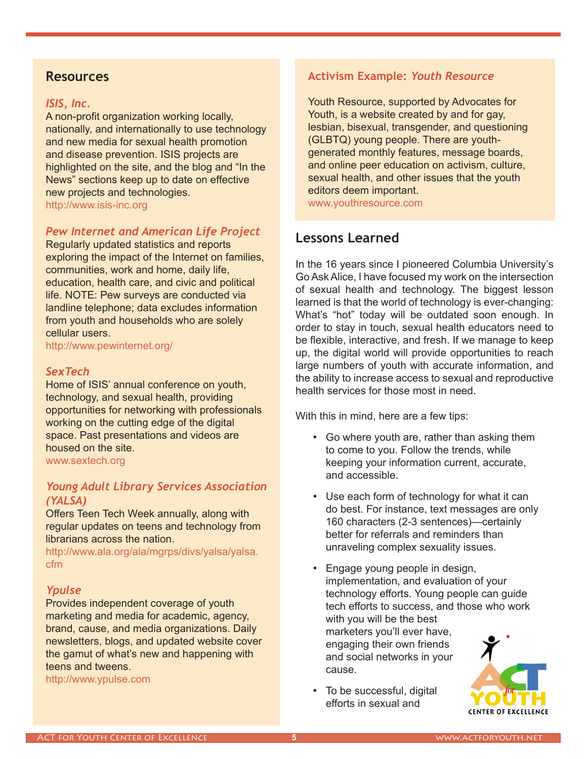### **Resources**

#### *ISIS, Inc.*

A non-profit organization working locally, nationally, and internationally to use technology and new media for sexual health promotion and disease prevention. ISIS projects are highlighted on the site, and the blog and "In the News" sections keep up to date on effective new projects and technologies. http://www.isis-inc.org

#### *Pew Internet and American Life Project*

Regularly updated statistics and reports exploring the impact of the Internet on families, communities, work and home, daily life, education, health care, and civic and political life. NOTE: Pew surveys are conducted via landline telephone; data excludes information from youth and households who are solely cellular users.

http://www.pewinternet.org/

#### *SexTech*

Home of ISIS' annual conference on youth, technology, and sexual health, providing opportunities for networking with professionals working on the cutting edge of the digital space. Past presentations and videos are housed on the site.

www.sextech.org

#### *Young Adult Library Services Association (YALSA)*

Offers Teen Tech Week annually, along with regular updates on teens and technology from librarians across the nation.

http://www.ala.org/ala/mgrps/divs/yalsa/yalsa. cfm

#### *Ypulse*

Provides independent coverage of youth marketing and media for academic, agency, brand, cause, and media organizations. Daily newsletters, blogs, and updated website cover the gamut of what's new and happening with teens and tweens.

http://www.ypulse.com

### **Activism Example:** *Youth Resource*

Youth Resource, supported by Advocates for Youth, is a website created by and for gay, lesbian, bisexual, transgender, and questioning (GLBTQ) young people. There are youthgenerated monthly features, message boards, and online peer education on activism, culture, sexual health, and other issues that the youth editors deem important. www.youthresource.com

**Lessons Learned**

In the 16 years since I pioneered Columbia University's Go Ask Alice, I have focused my work on the intersection of sexual health and technology. The biggest lesson learned is that the world of technology is ever-changing: What's "hot" today will be outdated soon enough. In order to stay in touch, sexual health educators need to be flexible, interactive, and fresh. If we manage to keep up, the digital world will provide opportunities to reach large numbers of youth with accurate information, and the ability to increase access to sexual and reproductive health services for those most in need.

With this in mind, here are a few tips:

- • Go where youth are, rather than asking them to come to you. Follow the trends, while keeping your information current, accurate, and accessible.
- Use each form of technology for what it can do best. For instance, text messages are only 160 characters (2-3 sentences)—certainly better for referrals and reminders than unraveling complex sexuality issues.
- Engage young people in design, implementation, and evaluation of your technology efforts. Young people can guide tech efforts to success, and those who work with you will be the best marketers you'll ever have, engaging their own friends and social networks in your cause.
- To be successful, digital efforts in sexual and